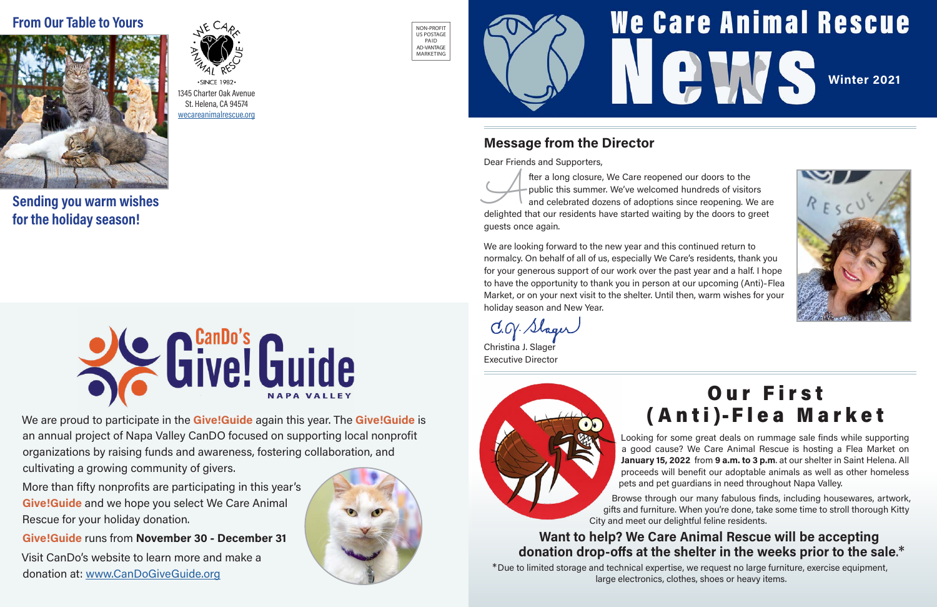### **We Care Animal Rescue PLAN** [Winter 2021](http://wecareanimalrescue.org)



Looking for some great deals on rummage sale finds while supporting a good cause? We Care Animal Rescue is hosting a Flea Market on January 15, 2022 from 9 a.m. to 3 p.m. at our shelter in Saint Helena. All proceeds will benefit our adoptable animals as well as other homeless pets and pet guardians in need throughout Napa Valley.

Browse through our many fabulous finds, including housewares, artwork, gifts and furniture. When you're done, take some time to stroll thorough Kitty City and meet our delightful feline residents.

#### Want to help? We Care Animal Rescue will be accepting donation drop-offs at the shelter in the weeks prior to the sale.\*

\*Due to limited storage and technical expertise, we request no large furniture, exercise equipment, large electronics, clothes, shoes or heavy items.

# Our First

fter a long closure, We Care reopened our doors to the public this summer. We've welcomed hundreds of visitors and celebrated dozens of adoptions since reopening. We are delighted that our residents have started waiting by public this summer. We've welcomed hundreds of visitors and celebrated dozens of adoptions since reopening. We are guests once again.



an annual project of Napa Valley CanDO focused on supporting local nonprofit organizations by raising funds and awareness, fostering collaboration, and cultivating a growing community of givers.

Christina J. Slager Executive Director



 $\cdot$ SINCE 1982 $\cdot$ 1345 Charter Oak Avenue St. Helena, CA 94574 [wecareanimalrescue.org](http://wecareanimalrescue.org)

More than fifty nonprofits are participating in this year's Give!Guide and we hope you select We Care Animal Rescue for your holiday donation.

Give!Guide runs from November 30 - December 31

Visit CanDo's website to learn more and make a donation at: [www.CanDoGiveGuide.org](http://www.CanDoGiveGuide.org)



#### Message from the Director

Dear Friends and Supporters,

We are looking forward to the new year and this continued return to normalcy. On behalf of all of us, especially We Care's residents, thank you for your generous support of our work over the past year and a half. I hope to have the opportunity to thank you in person at our upcoming (Anti)-Flea Market, or on your next visit to the shelter. Until then, warm wishes for your holiday season and New Year.

NON-PROFIT US POSTAGE PAID AD-VANTAGE MARKETING



Sending you warm wishes for the holiday season!

#### From Our Table to Yours